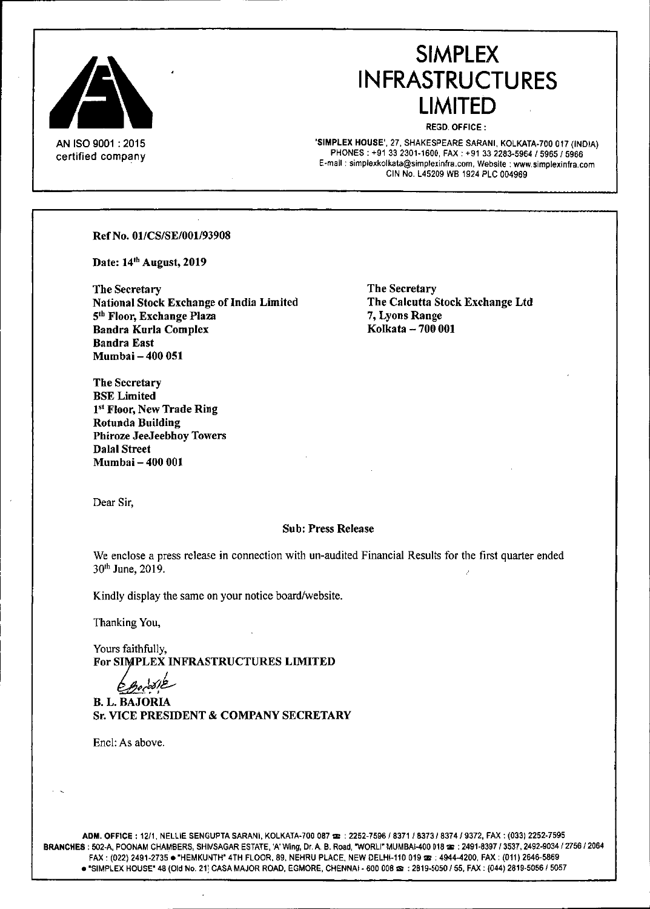

#### AN ISO 9001 : 2015 certified company

# **SIMPLEX INFRASTRUCTURES LIMITED**

REGD. OFFICE:

'SIMPLEX HOUSE', 27, SHAKESPEARE SARANI, KOLKATA-700 017 (INDIA) PHONES: +91 332301-1600, FAX: +91 332283-5964/5965/5966 **E-mail: simplexkolkata@simplexinfra,com, Website: [www.simpJexinfra.com](http://www.simpJexinfra.com)** CIN No. L45209 WB 1924 PLC 004969

Ref No. 0l/CS/SE/00l/93908

Date: 14th August, 2019

The Secretary National Stock Exchange of India Limited 5<sup>th</sup> Floor, Exchange Plaza Bandra Kurla Complex Bandra East Mumbai - 400 051

The Secretary The Calcutta Stock Exchange Ltd 7, Lyons Range Kolkata -- 700 001

The Secretary BSELimited 1st Floor, New Trade Ring Rotunda Building Phiroze JeeJeebhoy Towers Dalal Street Mumbai - 400 001

Dear Sir,

#### Sub: Press Release

We enclose a press release in connection with un-audited Financial Results for the first quarter ended 30<sup>th</sup> June, 2019.

Kindly display the same on your notice board/website.

Thanking You,

Yours faithfully, For SIMPLEX INFRASTRUCTURES LIMITED

*,M£-* . ,

**B. L. BAJORIA** Sr. VICE PRESIDENT & COMPANY SECRETARY

Encl: As above.

ADM. OFFICE: 12/1, NELLIE SENGUPTA SARANI, KOLKATA-700 087 28: : 2252-7596 / 8371 / 8373 / 8374 / 9372, FAX: (033) 2252-7595 BRANCHES: 502-A, POONAM CHAMBERS, SHIVSAGAR ESTATE, 'A' Wing, Dr. A. B. Road, "WORLI" MUMBAI-400 018 22 : 2491-8397 / 3537, 2492-9034 / 2756 / 2064 FAX: (022) 2491-2735 . "HEMKUNTH" 4TH FLOOR, 89, NEHRU PLACE, NEW DELHI-110 019 3 : 4944-4200, FAX: (011) 2646-5869  $\bullet$  "SIMPLEX HOUSE" 48 (Old No. 21) CASA MAJOR ROAD, EGMORE, CHENNAI - 600 008  $\bullet$  : 2819-5050 / 55, FAX: (044) 2819-5056 / 5057